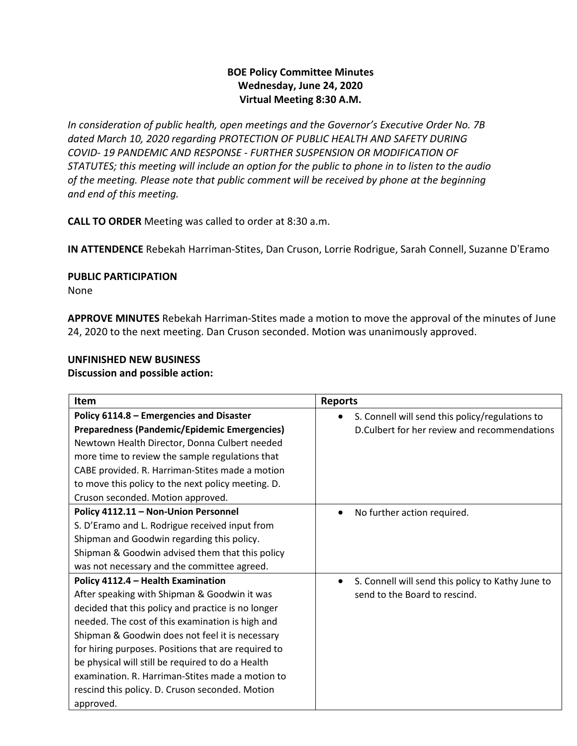## **BOE Policy Committee Minutes Wednesday, June 24, 2020 Virtual Meeting 8:30 A.M.**

*In consideration of public health, open meetings and the Governor's Executive Order No. 7B dated March 10, 2020 regarding PROTECTION OF PUBLIC HEALTH AND SAFETY DURING COVID- 19 PANDEMIC AND RESPONSE - FURTHER SUSPENSION OR MODIFICATION OF STATUTES; this meeting will include an option for the public to phone in to listen to the audio of the meeting. Please note that public comment will be received by phone at the beginning and end of this meeting.*

**CALL TO ORDER** Meeting was called to order at 8:30 a.m.

**IN ATTENDENCE** Rebekah Harriman-Stites, Dan Cruson, Lorrie Rodrigue, Sarah Connell, Suzanne D'Eramo

**PUBLIC PARTICIPATION** 

None

**APPROVE MINUTES** Rebekah Harriman-Stites made a motion to move the approval of the minutes of June 24, 2020 to the next meeting. Dan Cruson seconded. Motion was unanimously approved.

# **UNFINISHED NEW BUSINESS**

**Discussion and possible action:**

| <b>Item</b>                                         | <b>Reports</b>                                    |
|-----------------------------------------------------|---------------------------------------------------|
| Policy 6114.8 - Emergencies and Disaster            | S. Connell will send this policy/regulations to   |
| Preparedness (Pandemic/Epidemic Emergencies)        | D. Culbert for her review and recommendations     |
| Newtown Health Director, Donna Culbert needed       |                                                   |
| more time to review the sample regulations that     |                                                   |
| CABE provided. R. Harriman-Stites made a motion     |                                                   |
| to move this policy to the next policy meeting. D.  |                                                   |
| Cruson seconded. Motion approved.                   |                                                   |
| Policy 4112.11 - Non-Union Personnel                | No further action required.                       |
| S. D'Eramo and L. Rodrigue received input from      |                                                   |
| Shipman and Goodwin regarding this policy.          |                                                   |
| Shipman & Goodwin advised them that this policy     |                                                   |
| was not necessary and the committee agreed.         |                                                   |
| Policy 4112.4 - Health Examination                  | S. Connell will send this policy to Kathy June to |
| After speaking with Shipman & Goodwin it was        | send to the Board to rescind.                     |
| decided that this policy and practice is no longer  |                                                   |
| needed. The cost of this examination is high and    |                                                   |
| Shipman & Goodwin does not feel it is necessary     |                                                   |
| for hiring purposes. Positions that are required to |                                                   |
| be physical will still be required to do a Health   |                                                   |
| examination. R. Harriman-Stites made a motion to    |                                                   |
| rescind this policy. D. Cruson seconded. Motion     |                                                   |
| approved.                                           |                                                   |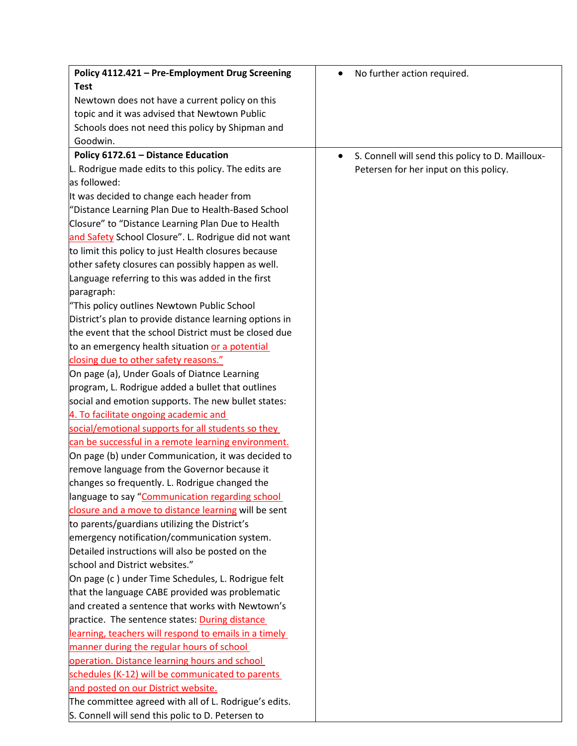| Policy 4112.421 - Pre-Employment Drug Screening         | No further action required.<br>٠                              |
|---------------------------------------------------------|---------------------------------------------------------------|
| <b>Test</b>                                             |                                                               |
| Newtown does not have a current policy on this          |                                                               |
| topic and it was advised that Newtown Public            |                                                               |
| Schools does not need this policy by Shipman and        |                                                               |
| Goodwin.                                                |                                                               |
| Policy 6172.61 - Distance Education                     | S. Connell will send this policy to D. Mailloux-<br>$\bullet$ |
| L. Rodrigue made edits to this policy. The edits are    | Petersen for her input on this policy.                        |
| as followed:                                            |                                                               |
| It was decided to change each header from               |                                                               |
| "Distance Learning Plan Due to Health-Based School      |                                                               |
| Closure" to "Distance Learning Plan Due to Health       |                                                               |
| and Safety School Closure". L. Rodrigue did not want    |                                                               |
| to limit this policy to just Health closures because    |                                                               |
| other safety closures can possibly happen as well.      |                                                               |
| Language referring to this was added in the first       |                                                               |
| paragraph:                                              |                                                               |
| "This policy outlines Newtown Public School             |                                                               |
| District's plan to provide distance learning options in |                                                               |
| the event that the school District must be closed due   |                                                               |
| to an emergency health situation or a potential         |                                                               |
| closing due to other safety reasons."                   |                                                               |
| On page (a), Under Goals of Diatnce Learning            |                                                               |
| program, L. Rodrigue added a bullet that outlines       |                                                               |
| social and emotion supports. The new bullet states:     |                                                               |
| 4. To facilitate ongoing academic and                   |                                                               |
| social/emotional supports for all students so they      |                                                               |
| can be successful in a remote learning environment.     |                                                               |
| On page (b) under Communication, it was decided to      |                                                               |
| remove language from the Governor because it            |                                                               |
| changes so frequently. L. Rodrigue changed the          |                                                               |
| language to say "Communication regarding school         |                                                               |
| closure and a move to distance learning will be sent    |                                                               |
| to parents/guardians utilizing the District's           |                                                               |
| emergency notification/communication system.            |                                                               |
| Detailed instructions will also be posted on the        |                                                               |
| school and District websites."                          |                                                               |
| On page (c) under Time Schedules, L. Rodrigue felt      |                                                               |
| that the language CABE provided was problematic         |                                                               |
| and created a sentence that works with Newtown's        |                                                               |
| practice. The sentence states: <b>During distance</b>   |                                                               |
| learning, teachers will respond to emails in a timely   |                                                               |
| manner during the regular hours of school               |                                                               |
| operation. Distance learning hours and school           |                                                               |
| schedules (K-12) will be communicated to parents        |                                                               |
| and posted on our District website.                     |                                                               |
| The committee agreed with all of L. Rodrigue's edits.   |                                                               |
| S. Connell will send this polic to D. Petersen to       |                                                               |